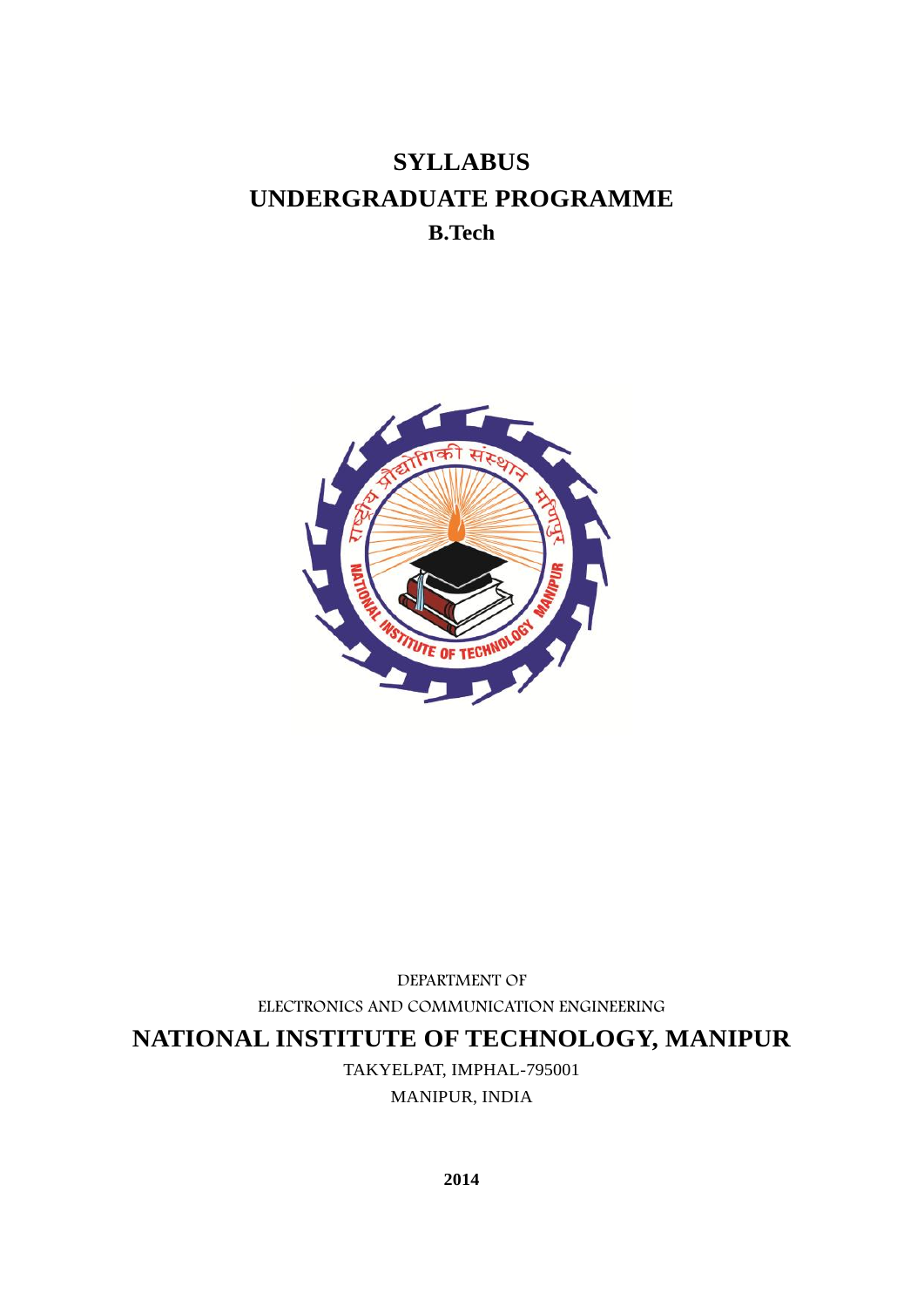# **SYLLABUS UNDERGRADUATE PROGRAMME B.Tech**



DEPARTMENT OF ELECTRONICS AND COMMUNICATION ENGINEERING

**NATIONAL INSTITUTE OF TECHNOLOGY, MANIPUR**

TAKYELPAT, IMPHAL-795001

MANIPUR, INDIA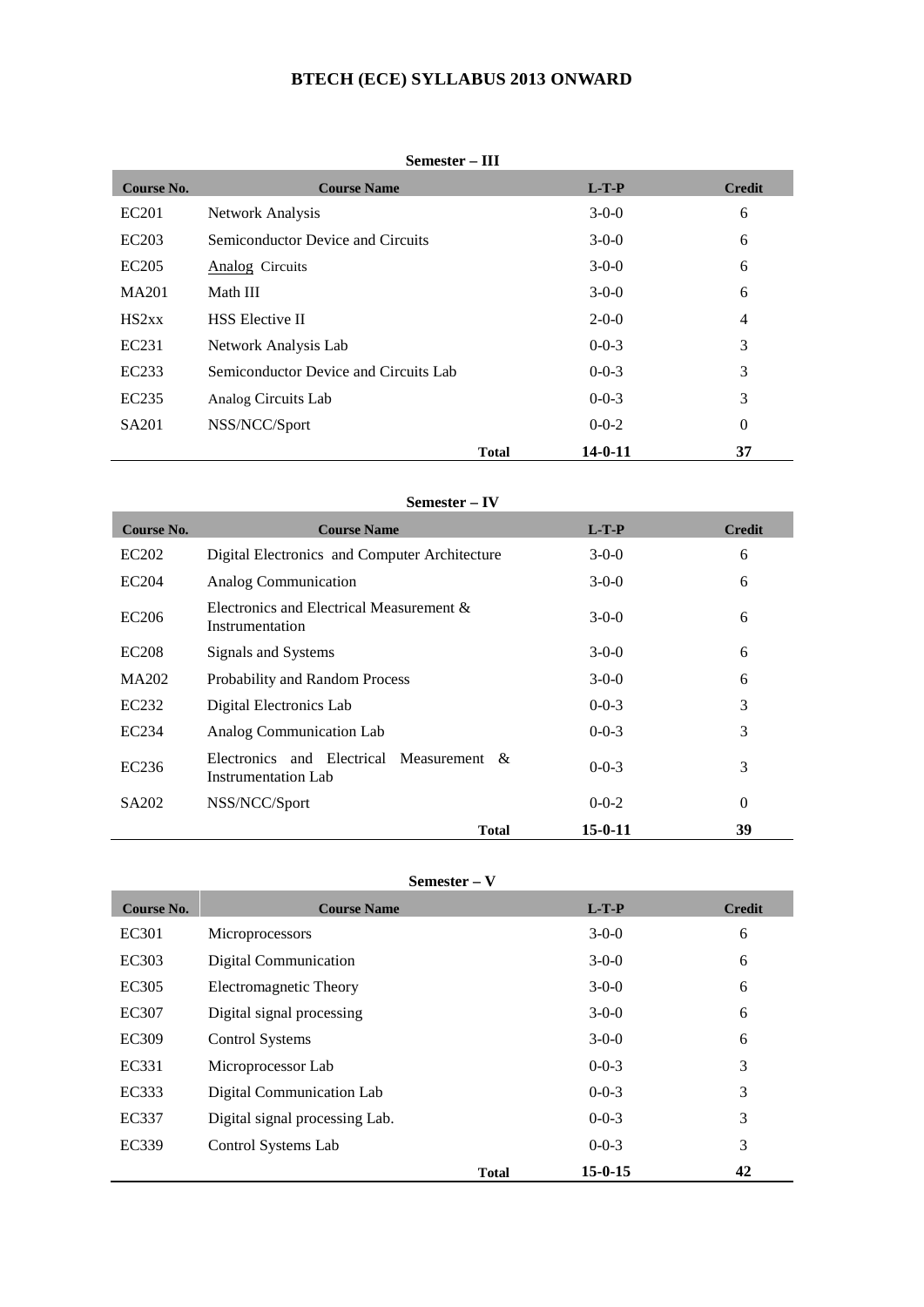## **BTECH (ECE) SYLLABUS 2013 ONWARD**

| Semester – III |  |
|----------------|--|
|----------------|--|

| Course No.        | <b>Course Name</b>                    |              | $L-T-P$       | <b>Credit</b> |
|-------------------|---------------------------------------|--------------|---------------|---------------|
| EC201             | Network Analysis                      |              | $3-0-0$       | 6             |
| EC203             | Semiconductor Device and Circuits     |              | $3-0-0$       | 6             |
| EC205             | Analog Circuits                       |              | $3-0-0$       | 6             |
| MA201             | Math III                              |              | $3-0-0$       | 6             |
| HS2xx             | <b>HSS</b> Elective II                |              | $2 - 0 - 0$   | 4             |
| EC231             | Network Analysis Lab                  |              | $0 - 0 - 3$   | 3             |
| EC233             | Semiconductor Device and Circuits Lab |              | $0 - 0 - 3$   | 3             |
| EC <sub>235</sub> | Analog Circuits Lab                   |              | $0-0-3$       | 3             |
| SA <sub>201</sub> | NSS/NCC/Sport                         |              | $0 - 0 - 2$   | $\theta$      |
|                   |                                       | <b>Total</b> | $14 - 0 - 11$ | 37            |

## **Semester – IV**

| Course No.        | <b>Course Name</b>                                              | $L-T-P$       | <b>Credit</b> |
|-------------------|-----------------------------------------------------------------|---------------|---------------|
| EC202             | Digital Electronics and Computer Architecture                   | $3-0-0$       | 6             |
| EC204             | Analog Communication                                            | $3-0-0$       | 6             |
| EC206             | Electronics and Electrical Measurement &<br>Instrumentation     | $3-0-0$       | 6             |
| <b>EC208</b>      | Signals and Systems                                             | $3-0-0$       | 6             |
| MA202             | Probability and Random Process                                  | $3-0-0$       | 6             |
| EC232             | Digital Electronics Lab                                         | $0 - 0 - 3$   | 3             |
| EC234             | Analog Communication Lab                                        | $0 - 0 - 3$   | 3             |
| EC <sub>236</sub> | Electronics and Electrical Measurement &<br>Instrumentation Lab | $0-0-3$       | 3             |
| SA <sub>202</sub> | NSS/NCC/Sport                                                   | $0 - 0 - 2$   | $\theta$      |
|                   | <b>Total</b>                                                    | $15 - 0 - 11$ | 39            |

## **Semester – V**

| Course No. | <b>Course Name</b>             |              | $L-T-P$       | <b>Credit</b> |
|------------|--------------------------------|--------------|---------------|---------------|
| EC301      | Microprocessors                |              | $3-0-0$       | 6             |
| EC303      | Digital Communication          |              | $3-0-0$       | 6             |
| EC305      | Electromagnetic Theory         |              | $3-0-0$       | 6             |
| EC307      | Digital signal processing      |              | $3-0-0$       | 6             |
| EC309      | Control Systems                |              | $3-0-0$       | 6             |
| EC331      | Microprocessor Lab             |              | $0 - 0 - 3$   | 3             |
| EC333      | Digital Communication Lab      |              | $0 - 0 - 3$   | 3             |
| EC337      | Digital signal processing Lab. |              | $0 - 0 - 3$   | 3             |
| EC339      | Control Systems Lab            |              | $0 - 0 - 3$   | 3             |
|            |                                | <b>Total</b> | $15 - 0 - 15$ | 42            |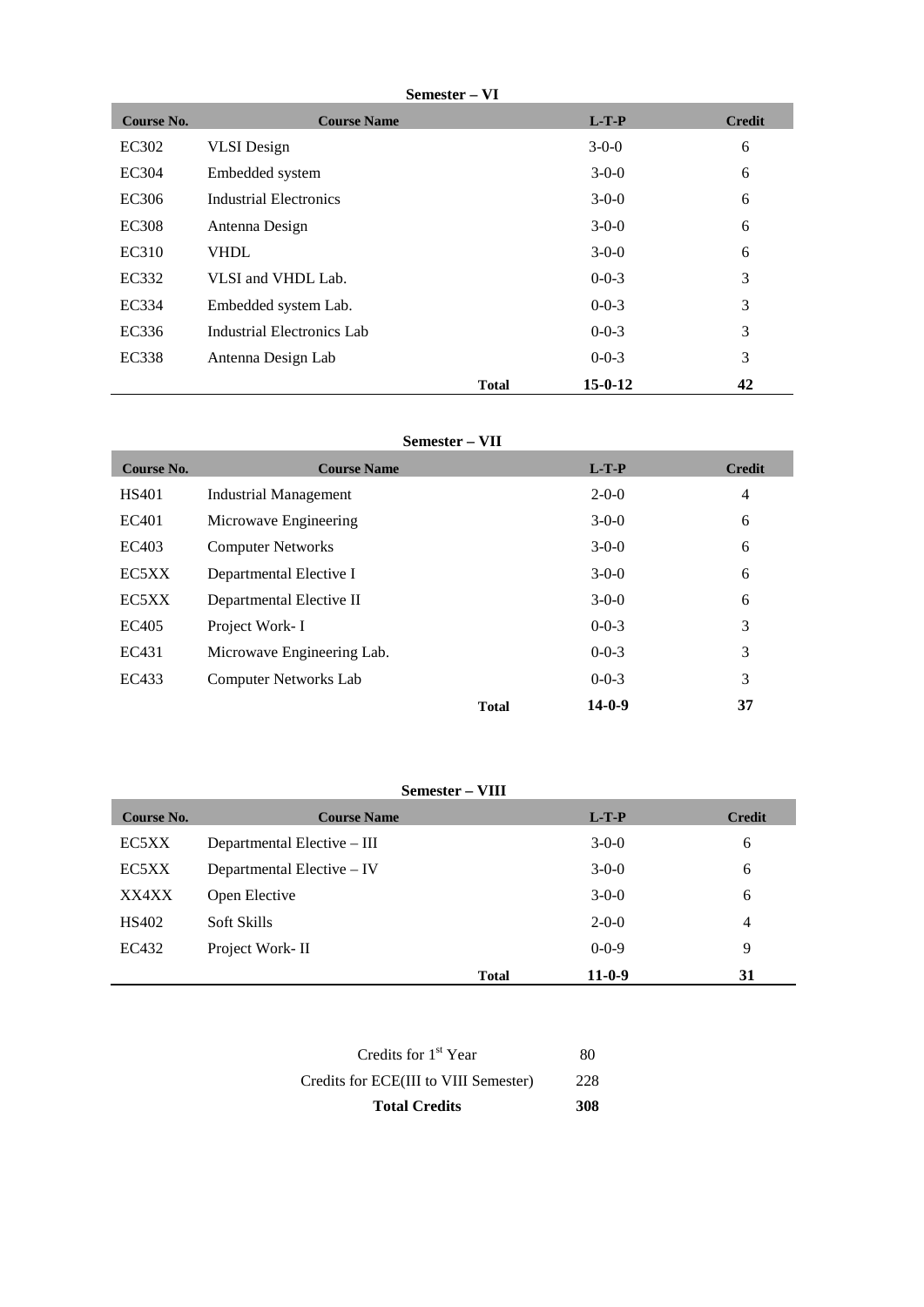| Semester – | VI |
|------------|----|
|------------|----|

| Course No.   | <b>Course Name</b>         |              | $L-T-P$       | <b>Credit</b> |
|--------------|----------------------------|--------------|---------------|---------------|
| EC302        | <b>VLSI</b> Design         |              | $3-0-0$       | 6             |
| <b>EC304</b> | Embedded system            |              | $3-0-0$       | 6             |
| EC306        | Industrial Electronics     |              | $3-0-0$       | 6             |
| <b>EC308</b> | Antenna Design             |              | $3-0-0$       | 6             |
| EC310        | <b>VHDL</b>                |              | $3-0-0$       | 6             |
| EC332        | VLSI and VHDL Lab.         |              | $0 - 0 - 3$   | 3             |
| EC334        | Embedded system Lab.       |              | $0 - 0 - 3$   | 3             |
| EC336        | Industrial Electronics Lab |              | $0 - 0 - 3$   | 3             |
| <b>EC338</b> | Antenna Design Lab         |              | $0 - 0 - 3$   | 3             |
|              |                            | <b>Total</b> | $15 - 0 - 12$ | 42            |

## **Semester – VII**

| Course No.   | <b>Course Name</b>           |              | $L-T-P$      | <b>Credit</b>  |
|--------------|------------------------------|--------------|--------------|----------------|
| <b>HS401</b> | <b>Industrial Management</b> |              | $2 - 0 - 0$  | $\overline{4}$ |
| EC401        | Microwave Engineering        |              | $3-0-0$      | 6              |
| EC403        | <b>Computer Networks</b>     |              | $3-0-0$      | 6              |
| EC5XX        | Departmental Elective I      |              | $3-0-0$      | 6              |
| EC5XX        | Departmental Elective II     |              | $3-0-0$      | 6              |
| EC405        | Project Work-I               |              | $0 - 0 - 3$  | 3              |
| EC431        | Microwave Engineering Lab.   |              | $0 - 0 - 3$  | 3              |
| EC433        | <b>Computer Networks Lab</b> |              | $0 - 0 - 3$  | 3              |
|              |                              | <b>Total</b> | $14 - 0 - 9$ | 37             |

## **Semester – VIII**

| Course No. | <b>Course Name</b>          |              | $L-T-P$     | <b>Credit</b>  |
|------------|-----------------------------|--------------|-------------|----------------|
| EC5XX      | Departmental Elective – III |              | $3-0-0$     | 6              |
| EC5XX      | Departmental Elective – IV  |              | $3-0-0$     | 6              |
| XX4XX      | Open Elective               |              | $3-0-0$     | 6              |
| HS402      | Soft Skills                 |              | $2 - 0 - 0$ | $\overline{4}$ |
| EC432      | Project Work-II             |              | $0 - 0 - 9$ | 9              |
|            |                             | <b>Total</b> | $11-0-9$    | 31             |

| <b>Total Credits</b>                  | 308 |  |
|---------------------------------------|-----|--|
| Credits for ECE(III to VIII Semester) | 228 |  |
| Credits for $1st$ Year                | 80  |  |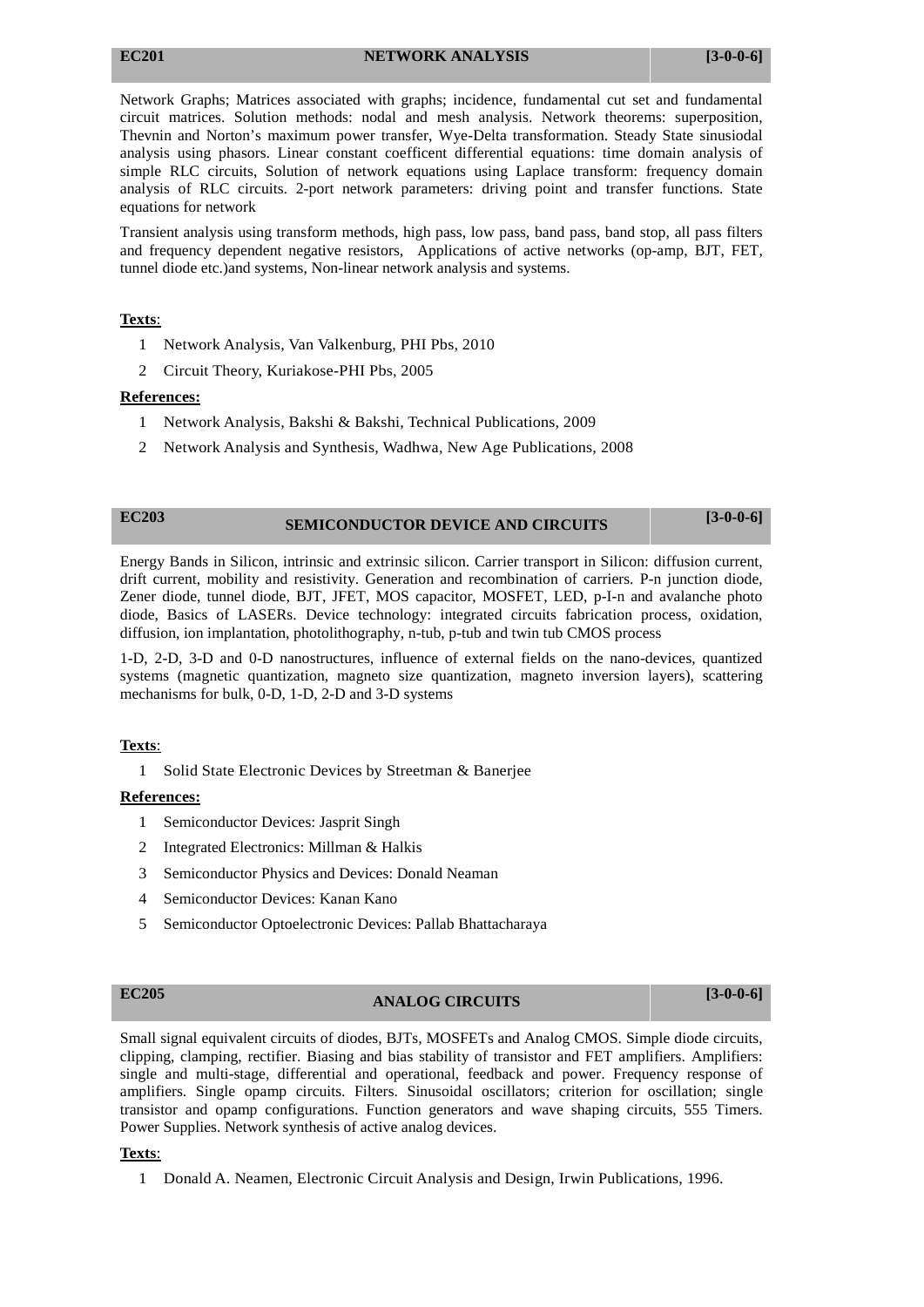## **EC201 NETWORK ANALYSIS [3-0-0-6]**

Network Graphs; Matrices associated with graphs; incidence, fundamental cut set and fundamental circuit matrices. Solution methods: nodal and mesh analysis. Network theorems: superposition, Thevnin and Norton's maximum power transfer, Wye-Delta transformation. Steady State sinusiodal analysis using phasors. Linear constant coefficent differential equations: time domain analysis of simple RLC circuits, Solution of network equations using Laplace transform: frequency domain analysis of RLC circuits. 2-port network parameters: driving point and transfer functions. State equations for network

Transient analysis using transform methods, high pass, low pass, band pass, band stop, all pass filters and frequency dependent negative resistors, Applications of active networks (op-amp, BJT, FET, tunnel diode etc.)and systems, Non-linear network analysis and systems.

## **Texts**:

- 1 Network Analysis, Van Valkenburg, PHI Pbs, 2010
- 2 Circuit Theory, Kuriakose-PHI Pbs, 2005

## **References:**

- 1 Network Analysis, Bakshi & Bakshi, Technical Publications, 2009
- 2 Network Analysis and Synthesis, Wadhwa, New Age Publications, 2008

## **EC203 SEMICONDUCTOR DEVICE AND CIRCUITS [3-0-0-6]**

Energy Bands in Silicon, intrinsic and extrinsic silicon. Carrier transport in Silicon: diffusion current, drift current, mobility and resistivity. Generation and recombination of carriers. P-n junction diode, Zener diode, tunnel diode, BJT, JFET, MOS capacitor, MOSFET, LED, p-I-n and avalanche photo diode, Basics of LASERs. Device technology: integrated circuits fabrication process, oxidation, diffusion, ion implantation, photolithography, n-tub, p-tub and twin tub CMOS process

1-D, 2-D, 3-D and 0-D nanostructures, influence of external fields on the nano-devices, quantized systems (magnetic quantization, magneto size quantization, magneto inversion layers), scattering mechanisms for bulk, 0-D, 1-D, 2-D and 3-D systems

## **Texts**:

1 Solid State Electronic Devices by Streetman & Banerjee

## **References:**

- 1 Semiconductor Devices: Jasprit Singh
- 2 Integrated Electronics: Millman & Halkis
- 3 Semiconductor Physics and Devices: Donald Neaman
- 4 Semiconductor Devices: Kanan Kano
- 5 Semiconductor Optoelectronic Devices: Pallab Bhattacharaya

# **EC205 ANALOG CIRCUITS [3-0-0-6]**

Small signal equivalent circuits of diodes, BJTs, MOSFETs and Analog CMOS. Simple diode circuits, clipping, clamping, rectifier. Biasing and bias stability of transistor and FET amplifiers. Amplifiers: single and multi-stage, differential and operational, feedback and power. Frequency response of amplifiers. Single opamp circuits. Filters. Sinusoidal oscillators; criterion for oscillation; single transistor and opamp configurations. Function generators and wave shaping circuits, 555 Timers. Power Supplies. Network synthesis of active analog devices.

## **Texts**:

1 Donald A. Neamen, Electronic Circuit Analysis and Design, Irwin Publications, 1996.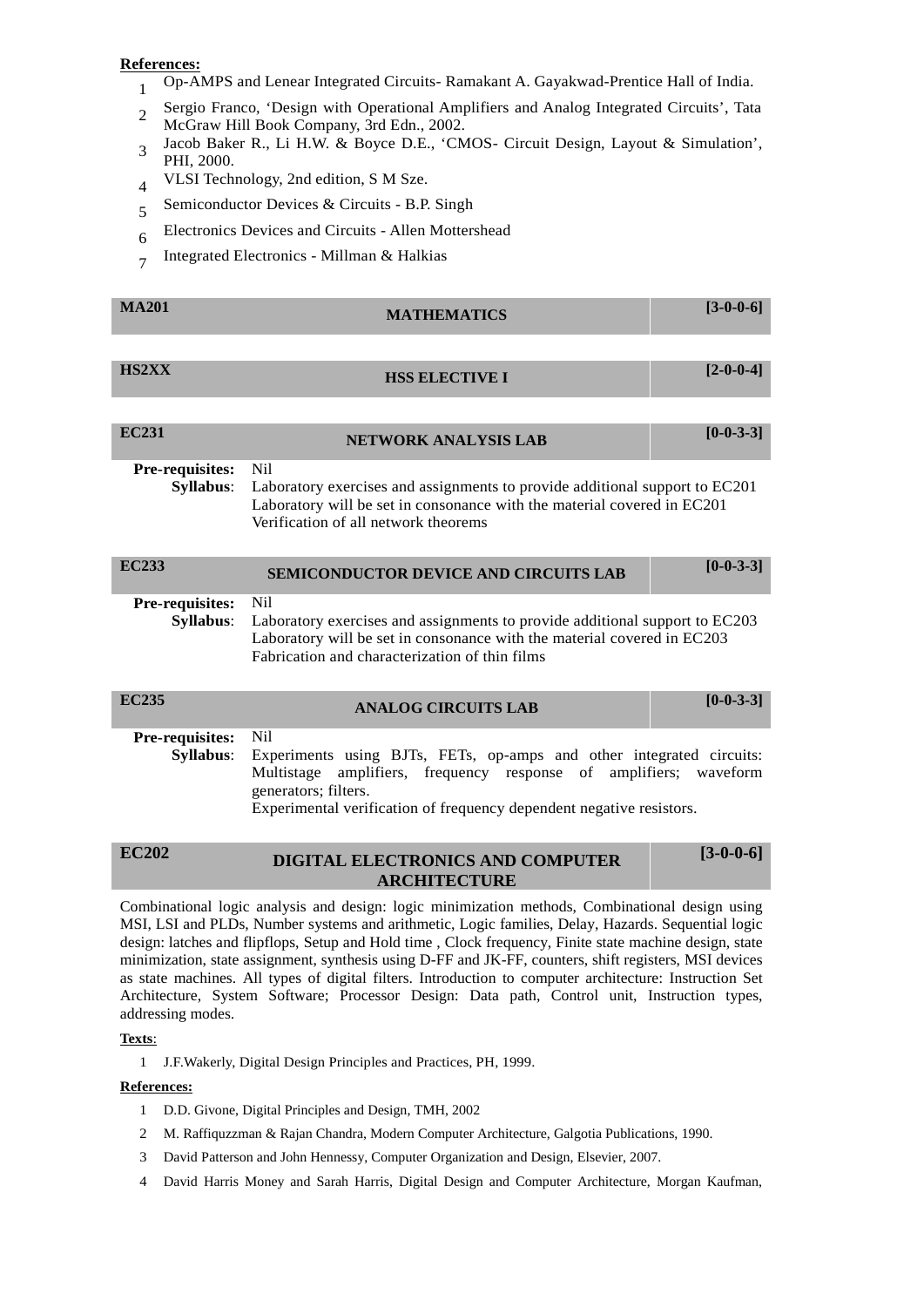## **References:**

- <sup>1</sup> Op-AMPS and Lenear Integrated Circuits- Ramakant A. Gayakwad-Prentice Hall of India.
- 2 Sergio Franco, 'Design with Operational Amplifiers and Analog Integrated Circuits', Tata McGraw Hill Book Company, 3rd Edn., 2002.
- 3 Jacob Baker R., Li H.W. & Boyce D.E., 'CMOS- Circuit Design, Layout & Simulation', PHI, 2000.
- <sup>4</sup> VLSI Technology, 2nd edition, S M Sze.
- <sup>5</sup> Semiconductor Devices & Circuits B.P. Singh
- <sup>6</sup> Electronics Devices and Circuits Allen Mottershead
- 7 Integrated Electronics Millman & Halkias

| <b>MA201</b>                        | <b>MATHEMATICS</b>                                                                                                                                                                                                                                             | $[3-0-0-6]$ |
|-------------------------------------|----------------------------------------------------------------------------------------------------------------------------------------------------------------------------------------------------------------------------------------------------------------|-------------|
| <b>HS2XX</b>                        | <b>HSS ELECTIVE I</b>                                                                                                                                                                                                                                          | $[2-0-0-4]$ |
| <b>EC231</b>                        | <b>NETWORK ANALYSIS LAB</b>                                                                                                                                                                                                                                    | $[0-0-3-3]$ |
| Pre-requisites:<br><b>Syllabus:</b> | N <sub>i</sub><br>Laboratory exercises and assignments to provide additional support to EC201<br>Laboratory will be set in consonance with the material covered in EC201<br>Verification of all network theorems                                               |             |
| <b>EC233</b>                        | <b>SEMICONDUCTOR DEVICE AND CIRCUITS LAB</b>                                                                                                                                                                                                                   | $[0-0-3-3]$ |
| Pre-requisites:<br><b>Syllabus:</b> | N <sub>i</sub><br>Laboratory exercises and assignments to provide additional support to EC203<br>Laboratory will be set in consonance with the material covered in EC203<br>Fabrication and characterization of thin films                                     |             |
| <b>EC235</b>                        | <b>ANALOG CIRCUITS LAB</b>                                                                                                                                                                                                                                     | $[0-0-3-3]$ |
| Pre-requisites:<br><b>Syllabus:</b> | N <sub>i</sub><br>Experiments using BJTs, FETs, op-amps and other integrated circuits:<br>amplifiers, frequency response of amplifiers; waveform<br>Multistage<br>generators; filters.<br>Experimental verification of frequency dependent negative resistors. |             |
| <b>EC202</b>                        | DIGITAL ELECTRONICS AND COMPUTER                                                                                                                                                                                                                               | $[3-0-0-6]$ |

Combinational logic analysis and design: logic minimization methods, Combinational design using MSI, LSI and PLDs, Number systems and arithmetic, Logic families, Delay, Hazards. Sequential logic design: latches and flipflops, Setup and Hold time , Clock frequency, Finite state machine design, state minimization, state assignment, synthesis using D-FF and JK-FF, counters, shift registers, MSI devices as state machines. All types of digital filters. Introduction to computer architecture: Instruction Set Architecture, System Software; Processor Design: Data path, Control unit, Instruction types, addressing modes.

**ARCHITECTURE**

### **Texts**:

1 J.F.Wakerly, Digital Design Principles and Practices, PH, 1999.

- 1 D.D. Givone, Digital Principles and Design, TMH, 2002
- 2 M. Raffiquzzman & Rajan Chandra, Modern Computer Architecture, Galgotia Publications, 1990.
- 3 David Patterson and John Hennessy, Computer Organization and Design, Elsevier, 2007.
- 4 David Harris Money and Sarah Harris, Digital Design and Computer Architecture, Morgan Kaufman,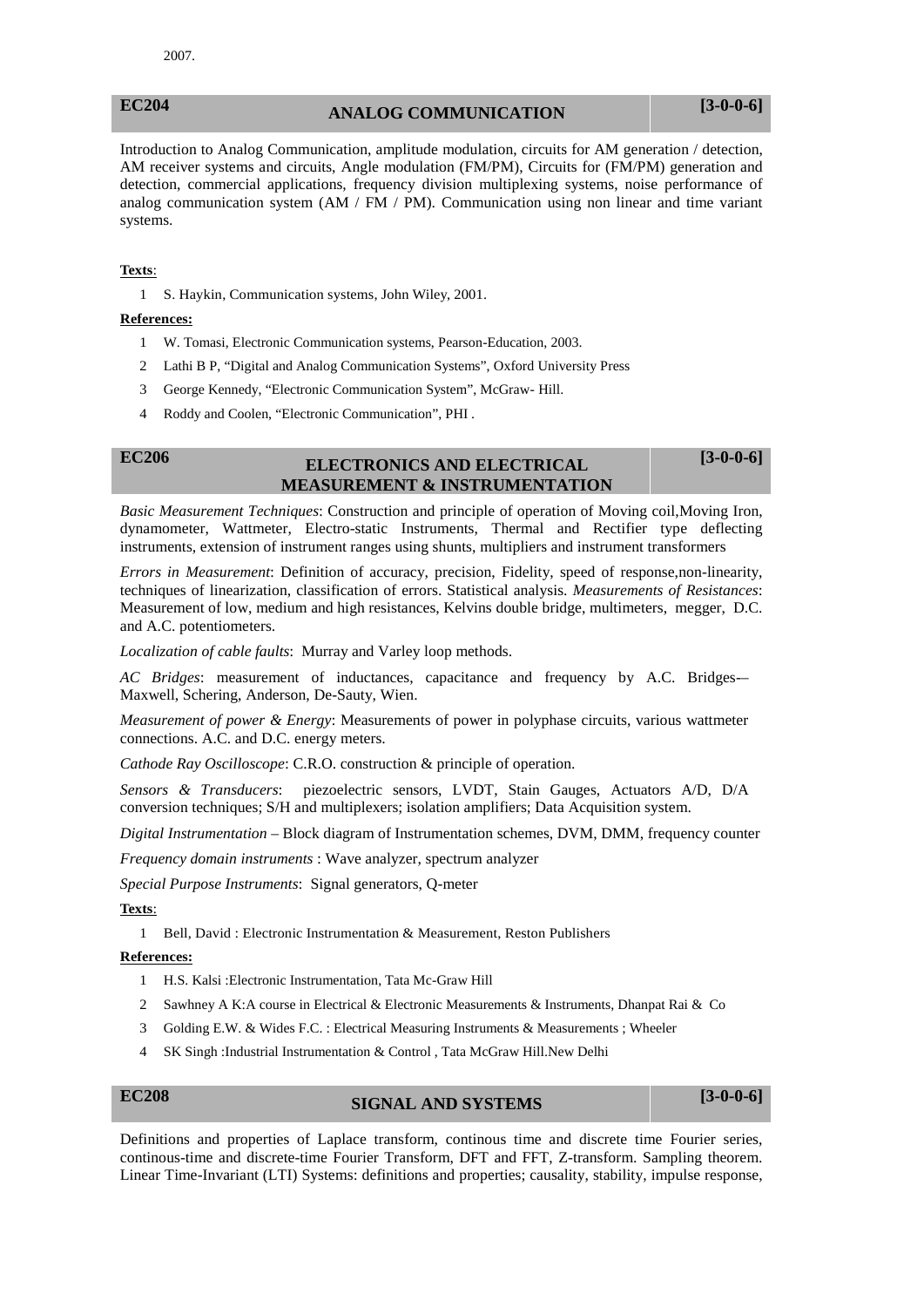## **EC204 ANALOG COMMUNICATION [3-0-0-6]**

Introduction to Analog Communication, amplitude modulation, circuits for AM generation / detection, AM receiver systems and circuits, Angle modulation (FM/PM), Circuits for (FM/PM) generation and detection, commercial applications, frequency division multiplexing systems, noise performance of analog communication system  $(AM / FM / PM)$ . Communication using non linear and time variant systems.

## **Texts**:

1 S. Haykin, Communication systems, John Wiley, 2001.

## **References:**

- 1 W. Tomasi, Electronic Communication systems, Pearson-Education, 2003.
- 2 Lathi B P, "Digital and Analog Communication Systems", Oxford University Press
- 3 George Kennedy, "Electronic Communication System", McGraw- Hill.
- 4 Roddy and Coolen, "Electronic Communication", PHI .

## **EC206 ELECTRONICS AND ELECTRICAL MEASUREMENT & INSTRUMENTATION**

**[3-0-0-6]**

*Basic Measurement Techniques*: Construction and principle of operation of Moving coil,Moving Iron, dynamometer, Wattmeter, Electro-static Instruments, Thermal and Rectifier type deflecting instruments, extension of instrument ranges using shunts, multipliers and instrument transformers

*Errors in Measurement*: Definition of accuracy, precision, Fidelity, speed of response,non-linearity, techniques of linearization, classification of errors. Statistical analysis. *Measurements of Resistances*: Measurement of low, medium and high resistances, Kelvins double bridge, multimeters, megger, D.C. and A.C. potentiometers.

*Localization of cable faults*: Murray and Varley loop methods.

*AC Bridges*: measurement of inductances, capacitance and frequency by A.C. Bridges-– Maxwell, Schering, Anderson, De-Sauty, Wien.

*Measurement of power & Energy*: Measurements of power in polyphase circuits, various wattmeter connections. A.C. and D.C. energy meters.

*Cathode Ray Oscilloscope*: C.R.O. construction & principle of operation.

*Sensors & Transducers*: piezoelectric sensors, LVDT, Stain Gauges, Actuators A/D, D/A conversion techniques; S/H and multiplexers; isolation amplifiers; Data Acquisition system.

*Digital Instrumentation* – Block diagram of Instrumentation schemes, DVM, DMM, frequency counter

*Frequency domain instruments* : Wave analyzer, spectrum analyzer

*Special Purpose Instruments*: Signal generators, Q-meter

### **Texts**:

1 Bell, David : Electronic Instrumentation & Measurement, Reston Publishers

## **References:**

- 1 H.S. Kalsi :Electronic Instrumentation, Tata Mc-Graw Hill
- 2 Sawhney A K:A course in Electrical & Electronic Measurements & Instruments, Dhanpat Rai & Co
- 3 Golding E.W. & Wides F.C. : Electrical Measuring Instruments & Measurements ; Wheeler
- 4 SK Singh :Industrial Instrumentation & Control , Tata McGraw Hill.New Delhi

## **EC208 SIGNAL AND SYSTEMS [3-0-0-6]**

Definitions and properties of Laplace transform, continous time and discrete time Fourier series, continous-time and discrete-time Fourier Transform, DFT and FFT, Z-transform. Sampling theorem. Linear Time-Invariant (LTI) Systems: definitions and properties; causality, stability, impulse response,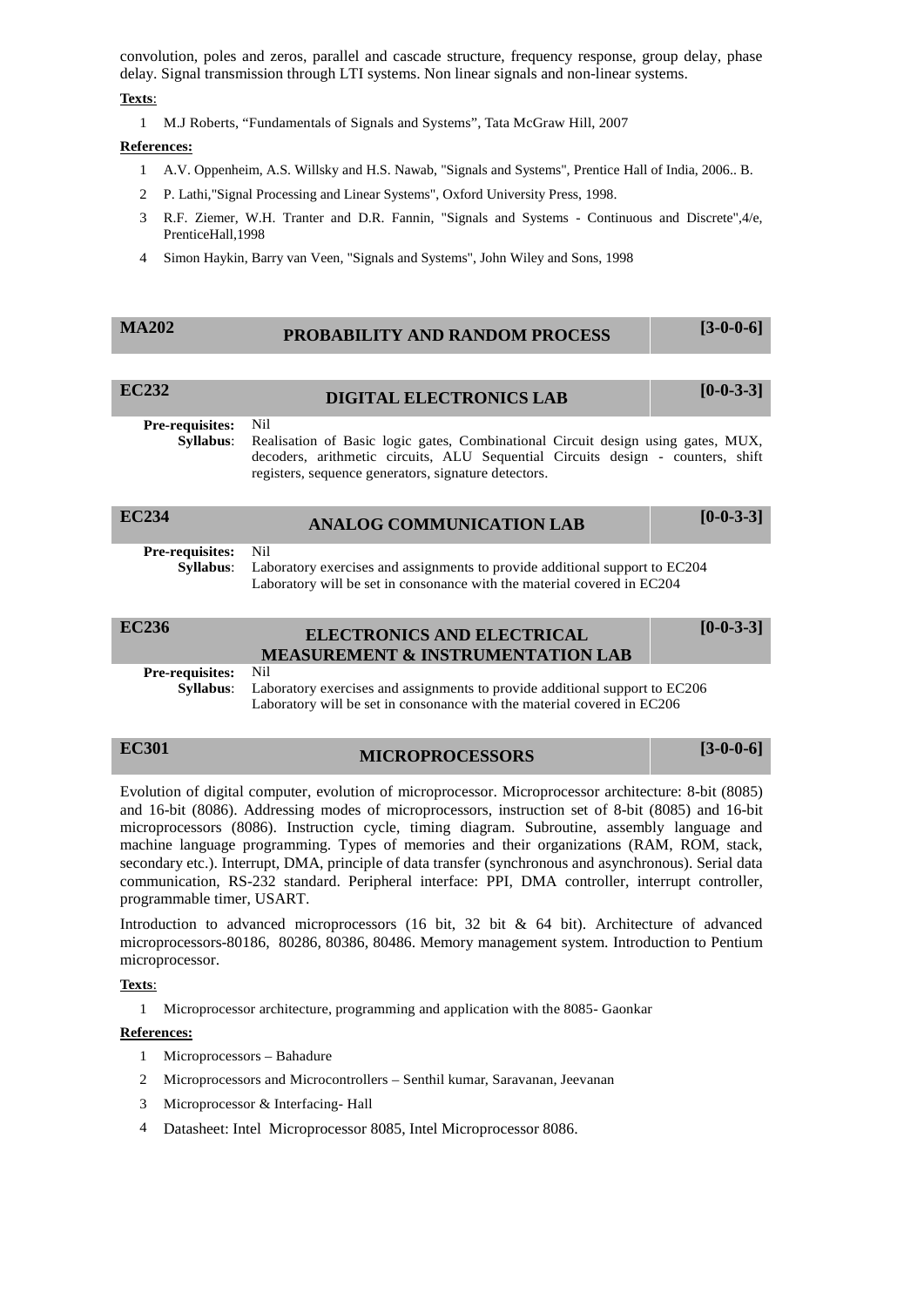convolution, poles and zeros, parallel and cascade structure, frequency response, group delay, phase delay. Signal transmission through LTI systems. Non linear signals and non-linear systems.

## **Texts**:

1 M.J Roberts, "Fundamentals of Signals and Systems", Tata McGraw Hill, 2007

## **References:**

- 1 A.V. Oppenheim, A.S. Willsky and H.S. Nawab, "Signals and Systems", Prentice Hall of India, 2006.. B.
- 2 P. Lathi,"Signal Processing and Linear Systems", Oxford University Press, 1998.
- 3 R.F. Ziemer, W.H. Tranter and D.R. Fannin, "Signals and Systems Continuous and Discrete",4/e, PrenticeHall,1998
- 4 Simon Haykin, Barry van Veen, "Signals and Systems", John Wiley and Sons, 1998

| <b>MA202</b><br><b>PROBABILITY AND RANDOM PROCESS</b> | $[3-0-0-6]$ |
|-------------------------------------------------------|-------------|
|-------------------------------------------------------|-------------|

| <b>EC232</b> | <b>DIGITAL ELECTRONICS LAB</b> | $[0-0-3-3]$ |
|--------------|--------------------------------|-------------|
|              |                                |             |

**Pre-requisites: Syllabus:** 

Realisation of Basic logic gates, Combinational Circuit design using gates, MUX, decoders, arithmetic circuits, ALU Sequential Circuits design - counters, shift registers, sequence generators, signature detectors.

| EC234                               | <b>ANALOG COMMUNICATION LAB</b>                                                                                                                                 | $[0-0-3-3]$ |
|-------------------------------------|-----------------------------------------------------------------------------------------------------------------------------------------------------------------|-------------|
| <b>Pre-requisites:</b><br>Svllabus: | - Nil<br>Laboratory exercises and assignments to provide additional support to EC204<br>Laboratory will be set in consonance with the material covered in EC204 |             |
| EC236                               | <b>ELECTRONICS AND ELECTRICAL</b>                                                                                                                               | $[0-0-3-3]$ |

| EC236                      | <b>ELECTRONICS AND ELECTRICAL</b><br><b>MEASUREMENT &amp; INSTRUMENTATION LAB</b>            |  |
|----------------------------|----------------------------------------------------------------------------------------------|--|
| <b>Pre-requisites:</b> Nil |                                                                                              |  |
|                            | <b>Syllabus:</b> Laboratory exercises and assignments to provide additional support to EC206 |  |
|                            | Laboratory will be set in consonance with the material covered in EC206                      |  |

# **EC301 MICROPROCESSORS [3-0-0-6]**

Evolution of digital computer, evolution of microprocessor. Microprocessor architecture: 8-bit (8085) and 16-bit (8086). Addressing modes of microprocessors, instruction set of 8-bit (8085) and 16-bit microprocessors (8086). Instruction cycle, timing diagram. Subroutine, assembly language and machine language programming. Types of memories and their organizations (RAM, ROM, stack, secondary etc.). Interrupt, DMA, principle of data transfer (synchronous and asynchronous). Serial data communication, RS-232 standard. Peripheral interface: PPI, DMA controller, interrupt controller, programmable timer, USART.

Introduction to advanced microprocessors (16 bit, 32 bit & 64 bit). Architecture of advanced microprocessors-80186, 80286, 80386, 80486. Memory management system. Introduction to Pentium microprocessor.

## **Texts**:

1 Microprocessor architecture, programming and application with the 8085- Gaonkar

- 1 Microprocessors Bahadure
- 2 Microprocessors and Microcontrollers Senthil kumar, Saravanan, Jeevanan
- 3 Microprocessor & Interfacing- Hall
- 4 Datasheet: Intel Microprocessor 8085, Intel Microprocessor 8086.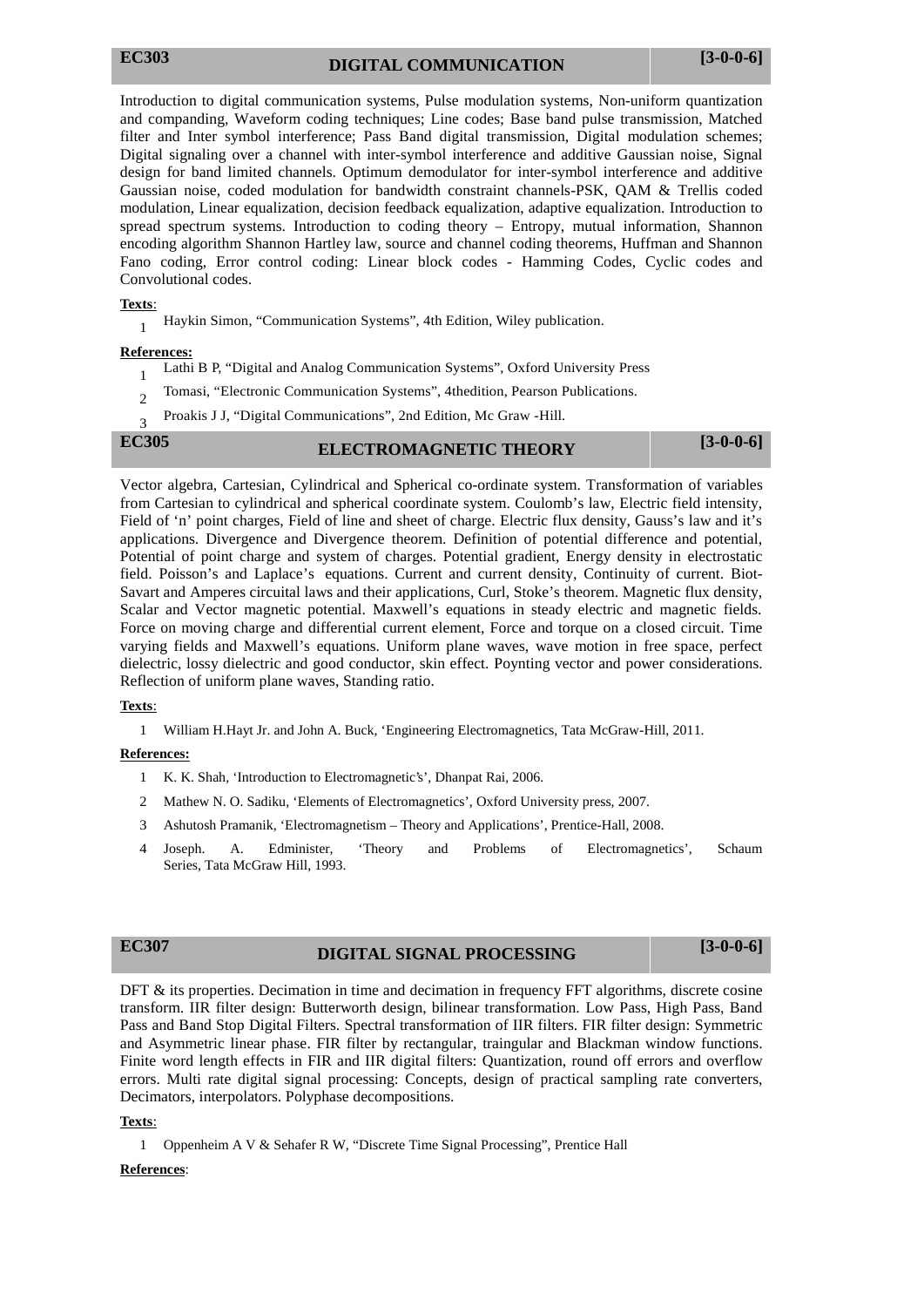Introduction to digital communication systems, Pulse modulation systems, Non-uniform quantization and companding, Waveform coding techniques; Line codes; Base band pulse transmission, Matched filter and Inter symbol interference; Pass Band digital transmission, Digital modulation schemes; Digital signaling over a channel with inter-symbol interference and additive Gaussian noise, Signal design for band limited channels. Optimum demodulator for inter-symbol interference and additive Gaussian noise, coded modulation for bandwidth constraint channels-PSK, QAM & Trellis coded modulation, Linear equalization, decision feedback equalization, adaptive equalization. Introduction to spread spectrum systems. Introduction to coding theory – Entropy, mutual information, Shannon encoding algorithm Shannon Hartley law, source and channel coding theorems, Huffman and Shannon Fano coding, Error control coding: Linear block codes - Hamming Codes, Cyclic codes and Convolutional codes.

## **Texts**:

<sup>1</sup> Haykin Simon, "Communication Systems", 4th Edition, Wiley publication.

## **References:**

- <sup>1</sup> Lathi B P, "Digital and Analog Communication Systems", Oxford University Press
- <sup>2</sup> Tomasi, "Electronic Communication Systems", 4thedition, Pearson Publications.
- <sup>3</sup> Proakis J J, "Digital Communications", 2nd Edition, Mc Graw -Hill.

# **EC305 ELECTROMAGNETIC THEORY [3-0-0-6]**

Vector algebra, Cartesian, Cylindrical and Spherical co-ordinate system. Transformation of variables from Cartesian to cylindrical and spherical coordinate system. Coulomb's law, Electric field intensity, Field of 'n' point charges, Field of line and sheet of charge. Electric flux density, Gauss's law and it's applications. Divergence and Divergence theorem. Definition of potential difference and potential, Potential of point charge and system of charges. Potential gradient, Energy density in electrostatic field. Poisson's and Laplace's equations. Current and current density, Continuity of current. Biot- Savart and Amperes circuital laws and their applications, Curl, Stoke's theorem. Magnetic flux density, Scalar and Vector magnetic potential. Maxwell's equations in steady electric and magnetic fields. Force on moving charge and differential current element, Force and torque on a closed circuit. Time varying fields and Maxwell's equations. Uniform plane waves, wave motion in free space, perfect dielectric, lossy dielectric and good conductor, skin effect. Poynting vector and power considerations. Reflection of uniform plane waves, Standing ratio.

## **Texts**:

1 William H.Hayt Jr. and John A. Buck, 'Engineering Electromagnetics, Tata McGraw-Hill, 2011.

## **References:**

- 1 K. K. Shah, 'Introduction to Electromagnetic's', Dhanpat Rai, 2006.
- 2 Mathew N. O. Sadiku, 'Elements of Electromagnetics', Oxford University press, 2007.
- 3 Ashutosh Pramanik, 'Electromagnetism Theory and Applications', Prentice-Hall, 2008.
- 4 Joseph. A. Edminister, 'Theory and Problems of Electromagnetics', Schaum Series, Tata McGraw Hill, 1993.

# **EC307 DIGITAL SIGNAL PROCESSING [3-0-0-6]**

DFT & its properties. Decimation in time and decimation in frequency FFT algorithms, discrete cosine transform. IIR filter design: Butterworth design, bilinear transformation. Low Pass, High Pass, Band Pass and Band Stop Digital Filters. Spectral transformation of IIR filters. FIR filter design: Symmetric and Asymmetric linear phase. FIR filter by rectangular, traingular and Blackman window functions. Finite word length effects in FIR and IIR digital filters: Quantization, round off errors and overflow errors. Multi rate digital signal processing: Concepts, design of practical sampling rate converters, Decimators, interpolators. Polyphase decompositions.

## **Texts**:

1 Oppenheim A V & Sehafer R W, "Discrete Time Signal Processing", Prentice Hall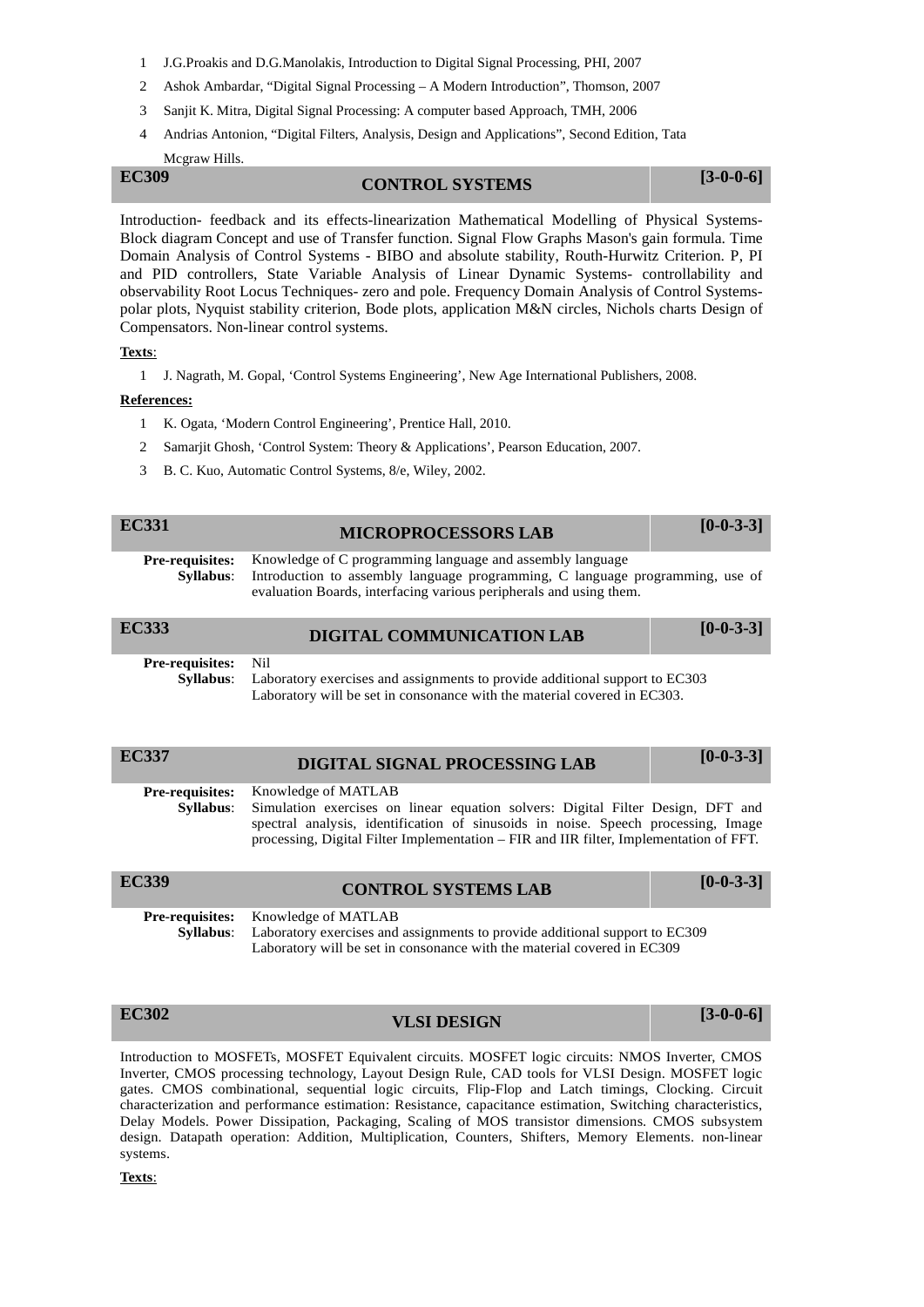- 1 J.G.Proakis and D.G.Manolakis, Introduction to Digital Signal Processing, PHI, 2007
- 2 Ashok Ambardar, "Digital Signal Processing A Modern Introduction", Thomson, 2007
- 3 Sanjit K. Mitra, Digital Signal Processing: A computer based Approach, TMH, 2006
- 4 Andrias Antonion, "Digital Filters, Analysis, Design and Applications", Second Edition, Tata Mcgraw Hills.

## **EC309 CONTROL SYSTEMS [3-0-0-6]**

Introduction- feedback and its effects-linearization Mathematical Modelling of Physical Systems- Block diagram Concept and use of Transfer function. Signal Flow Graphs Mason's gain formula. Time Domain Analysis of Control Systems - BIBO and absolute stability, Routh-Hurwitz Criterion. P, PI and PID controllers, State Variable Analysis of Linear Dynamic Systems- controllability and observability Root Locus Techniques- zero and pole. Frequency Domain Analysis of Control Systems polar plots, Nyquist stability criterion, Bode plots, application M&N circles, Nichols charts Design of Compensators. Non-linear control systems.

## **Texts**:

1 J. Nagrath, M. Gopal, 'Control Systems Engineering', New Age International Publishers, 2008.

## **References:**

- 1 K. Ogata, 'Modern Control Engineering', Prentice Hall, 2010.
- 2 Samarjit Ghosh, 'Control System: Theory & Applications', Pearson Education, 2007.
- 3 B. C. Kuo, Automatic Control Systems, 8/e, Wiley, 2002.

| EC331                               | <b>MICROPROCESSORS LAB</b>                                                                                                                                                                                       | $[0-0-3-3]$ |
|-------------------------------------|------------------------------------------------------------------------------------------------------------------------------------------------------------------------------------------------------------------|-------------|
| <b>Pre-requisites:</b><br>Syllabus: | Knowledge of C programming language and assembly language<br>Introduction to assembly language programming, C language programming, use of<br>evaluation Boards, interfacing various peripherals and using them. |             |
|                                     |                                                                                                                                                                                                                  |             |
| <b>EC333</b>                        | DIGITAL COMMUNICATION LAB                                                                                                                                                                                        | $[0-0-3-3]$ |

| <b>EC337</b>                               | DIGITAL SIGNAL PROCESSING LAB                                                                                                                                                                                                                                                         | $[0-0-3-3]$ |
|--------------------------------------------|---------------------------------------------------------------------------------------------------------------------------------------------------------------------------------------------------------------------------------------------------------------------------------------|-------------|
| <b>Pre-requisites:</b><br><b>Syllabus:</b> | Knowledge of MATLAB<br>Simulation exercises on linear equation solvers: Digital Filter Design, DFT and<br>spectral analysis, identification of sinusoids in noise. Speech processing, Image<br>processing, Digital Filter Implementation – FIR and IIR filter, Implementation of FFT. |             |
| <b>EC339</b>                               | <b>CONTROL SYSTEMS LAB</b>                                                                                                                                                                                                                                                            | $[0-0-3-3]$ |
| <b>Pre-requisites:</b><br>Syllabus:        | Knowledge of MATLAB<br>Laboratory exercises and assignments to provide additional support to EC309<br>Laboratory will be set in consonance with the material covered in EC309                                                                                                         |             |

# **EC302 VLSI DESIGN [3-0-0-6]**

Introduction to MOSFETs, MOSFET Equivalent circuits. MOSFET logic circuits: NMOS Inverter, CMOS Inverter, CMOS processing technology, Layout Design Rule, CAD tools for VLSI Design. MOSFET logic gates. CMOS combinational, sequential logic circuits, Flip-Flop and Latch timings, Clocking. Circuit characterization and performance estimation: Resistance, capacitance estimation, Switching characteristics, Delay Models. Power Dissipation, Packaging, Scaling of MOS transistor dimensions. CMOS subsystem design. Datapath operation: Addition, Multiplication, Counters, Shifters, Memory Elements. non-linear systems.

## **Texts**: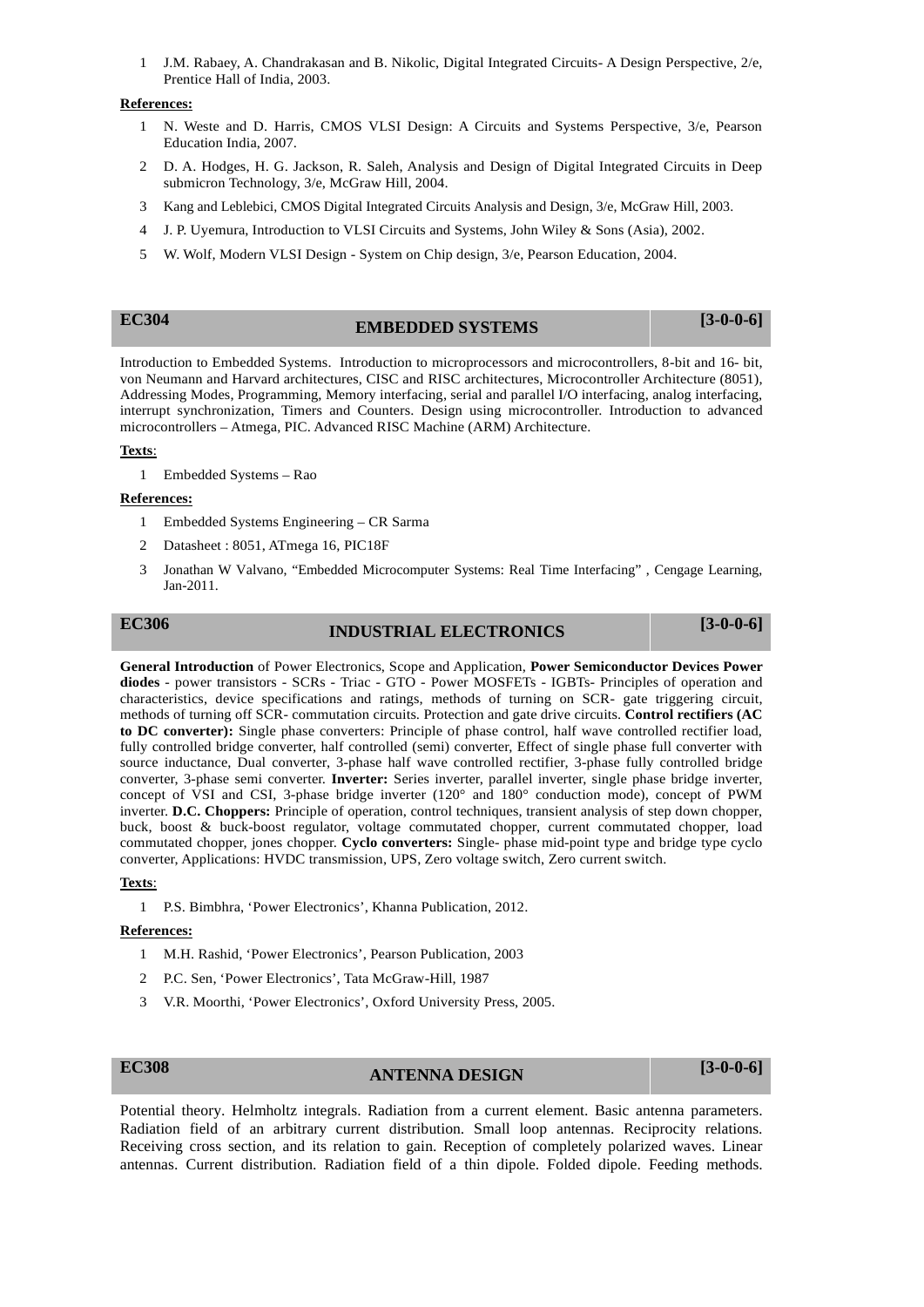1 J.M. Rabaey, A. Chandrakasan and B. Nikolic, Digital Integrated Circuits- A Design Perspective, 2/e, Prentice Hall of India, 2003.

## **References:**

- 1 N. Weste and D. Harris, CMOS VLSI Design: A Circuits and Systems Perspective, 3/e, Pearson Education India, 2007.
- 2 D. A. Hodges, H. G. Jackson, R. Saleh, Analysis and Design of Digital Integrated Circuits in Deep submicron Technology, 3/e, McGraw Hill, 2004.
- 3 Kang and Leblebici, CMOS Digital Integrated Circuits Analysis and Design, 3/e, McGraw Hill, 2003.
- 4 J. P. Uyemura, Introduction to VLSI Circuits and Systems, John Wiley & Sons (Asia), 2002.
- 5 W. Wolf, Modern VLSI Design System on Chip design, 3/e, Pearson Education, 2004.

# **EC304 EMBEDDED SYSTEMS [3-0-0-6]**

Introduction to Embedded Systems. Introduction to microprocessors and microcontrollers, 8-bit and 16- bit, von Neumann and Harvard architectures, CISC and RISC architectures, Microcontroller Architecture (8051), Addressing Modes, Programming, Memory interfacing, serial and parallel I/O interfacing, analog interfacing, interrupt synchronization, Timers and Counters. Design using microcontroller. Introduction to advanced microcontrollers – Atmega, PIC. Advanced RISC Machine (ARM) Architecture.

### **Texts**:

1 Embedded Systems – Rao

### **References:**

- 1 Embedded Systems Engineering CR Sarma
- 2 Datasheet : 8051, ATmega 16, PIC18F
- 3 Jonathan W Valvano, "Embedded Microcomputer Systems: Real Time Interfacing" , Cengage Learning, Jan-2011.

# **EC306 INDUSTRIAL ELECTRONICS [3-0-0-6]**

**General Introduction** of Power Electronics, Scope and Application, **Power Semiconductor Devices Power diodes** - power transistors - SCRs - Triac - GTO - Power MOSFETs - IGBTs- Principles of operation and characteristics, device specifications and ratings, methods of turning on SCR- gate triggering circuit, methods of turning off SCR- commutation circuits. Protection and gate drive circuits. **Control rectifiers (AC to DC converter):** Single phase converters: Principle of phase control, half wave controlled rectifier load, fully controlled bridge converter, half controlled (semi) converter, Effect of single phase full converter with source inductance, Dual converter, 3-phase half wave controlled rectifier, 3-phase fully controlled bridge converter, 3-phase semi converter. **Inverter:** Series inverter, parallel inverter, single phase bridge inverter, concept of VSI and CSI, 3-phase bridge inverter (120° and 180° conduction mode), concept of PWM inverter. **D.C. Choppers:** Principle of operation, control techniques, transient analysis of step down chopper, buck, boost & buck-boost regulator, voltage commutated chopper, current commutated chopper, load commutated chopper, jones chopper. **Cyclo converters:** Single- phase mid-point type and bridge type cyclo converter, Applications: HVDC transmission, UPS, Zero voltage switch, Zero current switch.

### **Texts**:

1 P.S. Bimbhra, 'Power Electronics', Khanna Publication, 2012.

### **References:**

- 1 M.H. Rashid, 'Power Electronics', Pearson Publication, 2003
- 2 P.C. Sen, 'Power Electronics', Tata McGraw-Hill, 1987
- 3 V.R. Moorthi, 'Power Electronics', Oxford University Press, 2005.

**EC308 ANTENNA DESIGN [3-0-0-6]**

Potential theory. Helmholtz integrals. Radiation from a current element. Basic antenna parameters. Radiation field of an arbitrary current distribution. Small loop antennas. Reciprocity relations. Receiving cross section, and its relation to gain. Reception of completely polarized waves. Linear antennas. Current distribution. Radiation field of a thin dipole. Folded dipole. Feeding methods.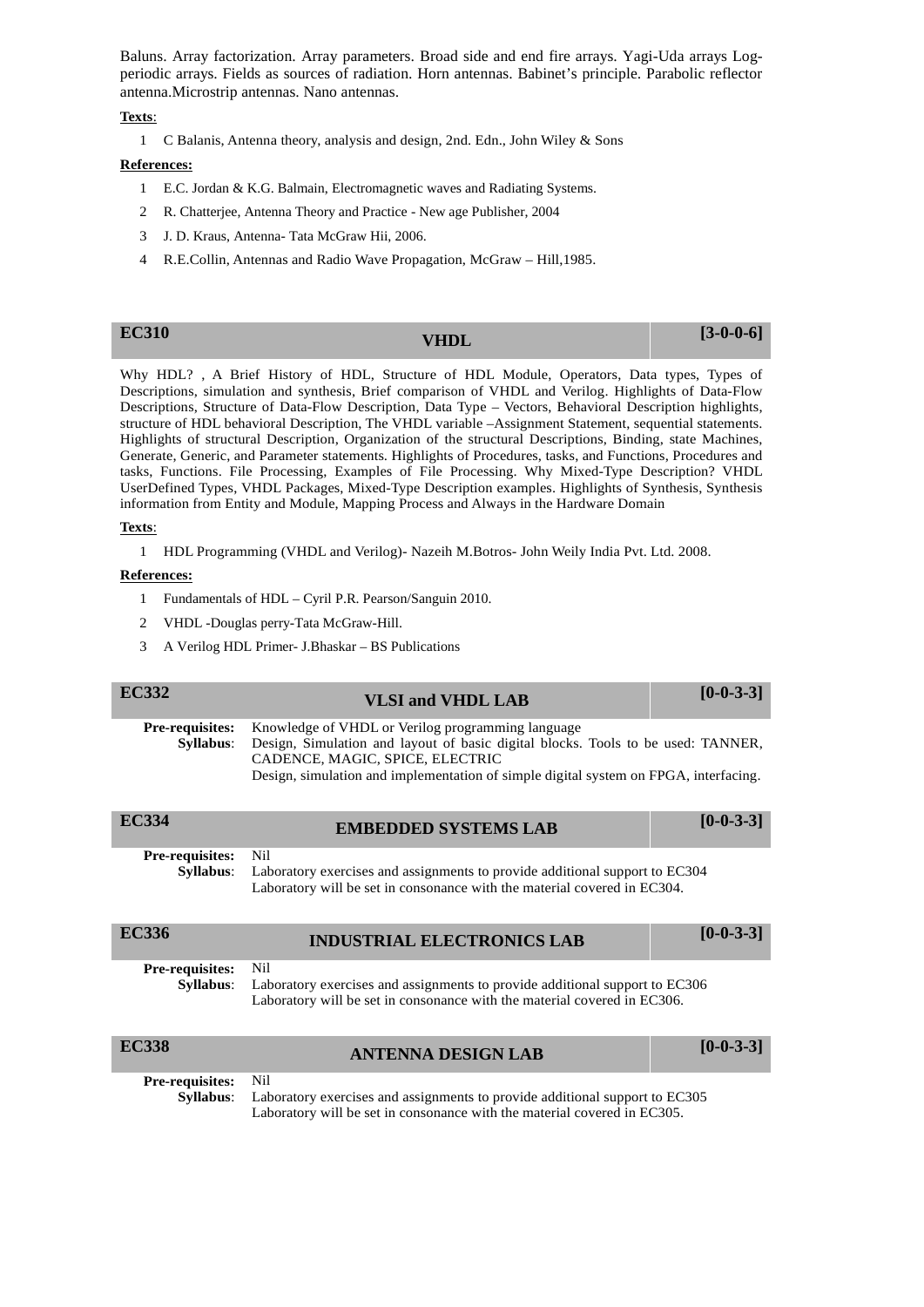Baluns. Array factorization. Array parameters. Broad side and end fire arrays. Yagi-Uda arrays Log periodic arrays. Fields as sources of radiation. Horn antennas. Babinet's principle. Parabolic reflector antenna.Microstrip antennas. Nano antennas.

**Texts**:

1 C Balanis, Antenna theory, analysis and design, 2nd. Edn., John Wiley & Sons

## **References:**

- 1 E.C. Jordan & K.G. Balmain, Electromagnetic waves and Radiating Systems.
- 2 R. Chatterjee, Antenna Theory and Practice New age Publisher, 2004
- 3 J. D. Kraus, Antenna- Tata McGraw Hii, 2006.
- 4 R.E.Collin, Antennas and Radio Wave Propagation, McGraw Hill,1985.

| <b>EC310</b> | <b>VHDL</b> | $[3-0-0-6]$ |
|--------------|-------------|-------------|
|--------------|-------------|-------------|

Why HDL? , A Brief History of HDL, Structure of HDL Module, Operators, Data types, Types of Descriptions, simulation and synthesis, Brief comparison of VHDL and Verilog. Highlights of Data-Flow Descriptions, Structure of Data-Flow Description, Data Type – Vectors, Behavioral Description highlights, structure of HDL behavioral Description, The VHDL variable –Assignment Statement, sequential statements. Highlights of structural Description, Organization of the structural Descriptions, Binding, state Machines, Generate, Generic, and Parameter statements. Highlights of Procedures, tasks, and Functions, Procedures and tasks, Functions. File Processing, Examples of File Processing. Why Mixed-Type Description? VHDL UserDefined Types, VHDL Packages, Mixed-Type Description examples. Highlights of Synthesis, Synthesis information from Entity and Module, Mapping Process and Always in the Hardware Domain

### **Texts**:

1 HDL Programming (VHDL and Verilog)- Nazeih M.Botros- John Weily India Pvt. Ltd. 2008.

- 1 Fundamentals of HDL Cyril P.R. Pearson/Sanguin 2010.
- 2 VHDL -Douglas perry-Tata McGraw-Hill.
- 3 A Verilog HDL Primer- J.Bhaskar BS Publications

| <b>EC332</b> | <b>VLSI and VHDL LAB</b>                                                                          | $[0-0-3-3]$ |
|--------------|---------------------------------------------------------------------------------------------------|-------------|
|              | <b>Pre-requisites:</b> Knowledge of VHDL or Verilog programming language                          |             |
|              | <b>Syllabus:</b> Design, Simulation and layout of basic digital blocks. Tools to be used: TANNER, |             |
|              | CADENCE, MAGIC, SPICE, ELECTRIC                                                                   |             |
|              | Design, simulation and implementation of simple digital system on FPGA, interfacing.              |             |

| <b>EC334</b>           | <b>EMBEDDED SYSTEMS LAB</b>                                                                                                                             | $[0-0-3-3]$ |
|------------------------|---------------------------------------------------------------------------------------------------------------------------------------------------------|-------------|
| <b>Pre-requisites:</b> | Nil                                                                                                                                                     |             |
| Syllabus:              | Laboratory exercises and assignments to provide additional support to EC304<br>Laboratory will be set in consonance with the material covered in EC304. |             |
|                        |                                                                                                                                                         |             |
| EC336                  | <b>INDUSTRIAL ELECTRONICS LAB</b>                                                                                                                       |             |
| <b>Pre-requisites:</b> | Nil                                                                                                                                                     | $[0-0-3-3]$ |

| <b>EC338</b>               | ANTENNA DESIGN LAB                                                                           | $[0-0-3-3]$ |
|----------------------------|----------------------------------------------------------------------------------------------|-------------|
| <b>Pre-requisites:</b> Nil |                                                                                              |             |
|                            | <b>Syllabus:</b> Laboratory exercises and assignments to provide additional support to EC305 |             |
|                            | Laboratory will be set in consonance with the material covered in EC305.                     |             |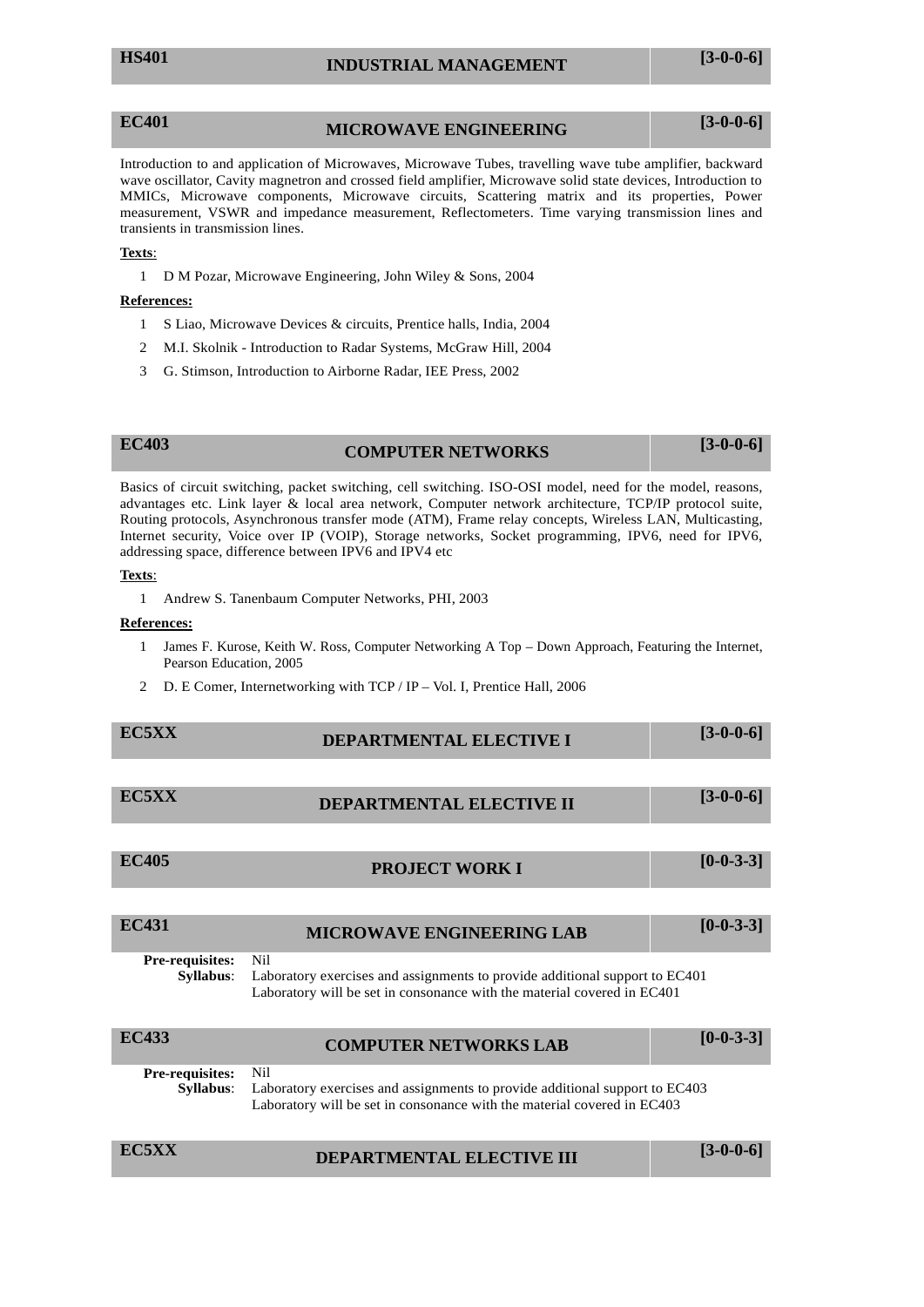## **EC401 MICROWAVE ENGINEERING [3-0-0-6]**

Introduction to and application of Microwaves, Microwave Tubes, travelling wave tube amplifier, backward wave oscillator, Cavity magnetron and crossed field amplifier, Microwave solid state devices, Introduction to MMICs, Microwave components, Microwave circuits, Scattering matrix and its properties, Power measurement, VSWR and impedance measurement, Reflectometers. Time varying transmission lines and transients in transmission lines.

## **Texts**:

1 D M Pozar, Microwave Engineering, John Wiley & Sons, 2004

## **References:**

- 1 S Liao, Microwave Devices & circuits, Prentice halls, India, 2004
- 2 M.I. Skolnik Introduction to Radar Systems, McGraw Hill, 2004
- 3 G. Stimson, Introduction to Airborne Radar, IEE Press, 2002

## **EC403 COMPUTER NETWORKS [3-0-0-6]**

Basics of circuit switching, packet switching, cell switching. ISO-OSI model, need for the model, reasons, advantages etc. Link layer & local area network, Computer network architecture, TCP/IP protocol suite, Routing protocols, Asynchronous transfer mode (ATM), Frame relay concepts, Wireless LAN, Multicasting, Internet security, Voice over IP (VOIP), Storage networks, Socket programming, IPV6, need for IPV6, addressing space, difference between IPV6 and IPV4 etc

### **Texts**:

1 Andrew S. Tanenbaum Computer Networks, PHI, 2003

## **References:**

- 1 James F. Kurose, Keith W. Ross, Computer Networking A Top Down Approach, Featuring the Internet, Pearson Education, 2005
- 2 D. E Comer, Internetworking with TCP / IP Vol. I, Prentice Hall, 2006

| EC5XX | DEPARTMENTAL ELECTIVE I | $[3-0-0-6]$ |
|-------|-------------------------|-------------|
|       |                         |             |

## **ECFIVE II** [3-0-0-6]

**EC405 PROJECT WORK I [0-0-3-3]**

| <b>EC431</b>                        | <b>MICROWAVE ENGINEERING LAB</b>                                                                                                                              | $[0-0-3-3]$ |
|-------------------------------------|---------------------------------------------------------------------------------------------------------------------------------------------------------------|-------------|
| Pre-requisites:<br><b>Syllabus:</b> | Nil<br>Laboratory exercises and assignments to provide additional support to EC401<br>Laboratory will be set in consonance with the material covered in EC401 |             |
| <b>EC433</b>                        | <b>COMPUTER NETWORKS LAB</b>                                                                                                                                  | $[0-0-3-3]$ |
| Pre-requisites:<br>Syllabus:        | Nil<br>Laboratory exercises and assignments to provide additional support to EC403<br>Laboratory will be set in consonance with the material covered in EC403 |             |

| <b>EC5XX</b><br>DEPARTMENTAL ELECTIVE III | $[3-0-0-6]$ |
|-------------------------------------------|-------------|
|-------------------------------------------|-------------|